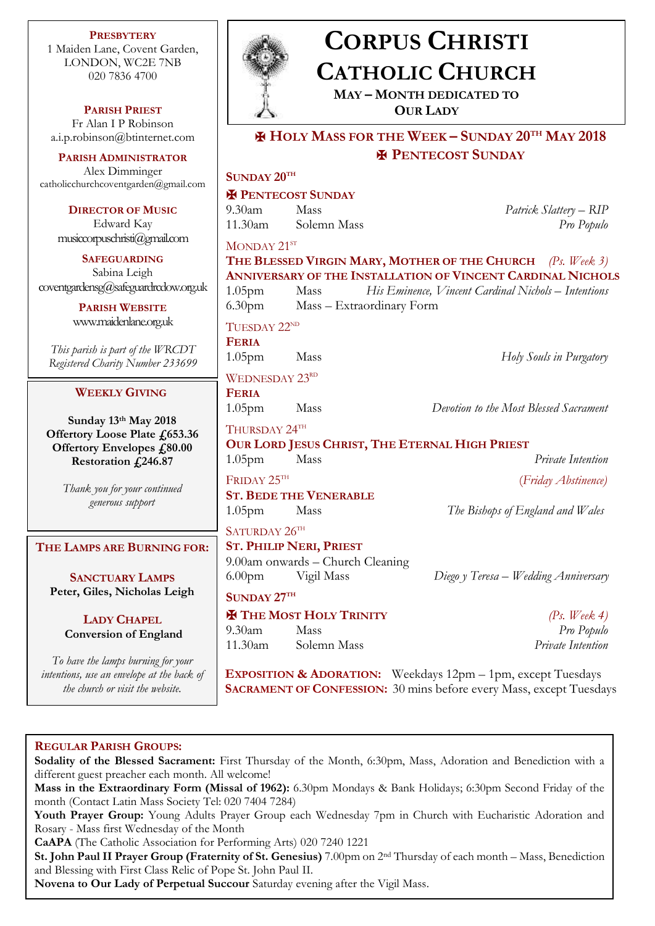**PRESBYTERY** 1 Maiden Lane, Covent Garden, LONDON, WC2E 7NB 020 7836 4700

**PARISH PRIEST** Fr Alan I P Robinson [a.i.p.robinson@btinternet.com](mailto:a.i.p.robinson@btinternet.com)

**PARISH ADMINISTRATOR** Alex Dimminger [catholicchurchcoventgarden@gmail.com](mailto:catholicchurchcoventgarden@gmail.com)

> **DIRECTOR OF MUSIC** Edward Kay musiccorpuschristi@gmail.com

**SAFEGUARDING** Sabina Leigh [coventgardensg@safeguardrcdow.org.uk](mailto:coventgardensg@safeguardrcdow.org.uk)

> **PARISH WEBSITE** [www.maidenlane.org.uk](http://www.maidenlane.org.uk/)

*This parish is part of the WRCDT Registered Charity Number 233699*

# **WEEKLY GIVING**

**Sunday 13th May 2018 Offertory Loose Plate £653.36 Offertory Envelopes £80.00 Restoration £246.87**

> *Thank you for your continued generous support*

# **THE LAMPS ARE BURNING FOR:**

**SANCTUARY LAMPS Peter, Giles, Nicholas Leigh**

> **LADY CHAPEL Conversion of England**

*To have the lamps burning for your intentions, use an envelope at the back of the church or visit the website.*



# **CORPUS CHRISTI CATHOLIC CHURCH**

**MAY – MONTH DEDICATED TO OUR LADY**

✠ **HOLY MASS FOR THE WEEK – SUNDAY 20TH MAY 2018** ✠ **PENTECOST SUNDAY**

|                          | <b>E PENTECOST SUNDAY</b>                      |                                                             |  |
|--------------------------|------------------------------------------------|-------------------------------------------------------------|--|
| $9.30$ am                | <b>Mass</b>                                    | Patrick Slattery – RIP                                      |  |
|                          | 11.30am Solemn Mass                            | Pro Populo                                                  |  |
| MONDAY 21ST              |                                                |                                                             |  |
|                          |                                                | THE BLESSED VIRGIN MARY, MOTHER OF THE CHURCH (Ps. Week 3)  |  |
|                          |                                                | ANNIVERSARY OF THE INSTALLATION OF VINCENT CARDINAL NICHOLS |  |
| 1.05 <sub>pm</sub>       | Mass                                           | His Eminence, Vincent Cardinal Nichols - Intentions         |  |
|                          | 6.30pm Mass - Extraordinary Form               |                                                             |  |
| TUESDAY 22 <sup>ND</sup> |                                                |                                                             |  |
| <b>FERIA</b>             |                                                |                                                             |  |
| 1.05 <sub>pm</sub>       | Mass                                           | Holy Souls in Purgatory                                     |  |
| <b>WEDNESDAY 23RD</b>    |                                                |                                                             |  |
| <b>FERIA</b>             |                                                |                                                             |  |
| 1.05 <sub>pm</sub>       | Mass                                           | Devotion to the Most Blessed Sacrament                      |  |
| THURSDAY 24TH            |                                                |                                                             |  |
|                          | OUR LORD JESUS CHRIST, THE ETERNAL HIGH PRIEST |                                                             |  |
| 1.05 <sub>pm</sub>       | Mass                                           | Private Intention                                           |  |
| FRIDAY 25TH              |                                                | (Friday Abstinence)                                         |  |
|                          | <b>ST. BEDE THE VENERABLE</b>                  |                                                             |  |
| 1.05 <sub>pm</sub>       | Mass                                           | The Bishops of England and Wales                            |  |
| SATURDAY 26TH            |                                                |                                                             |  |
|                          | <b>ST. PHILIP NERI, PRIEST</b>                 |                                                             |  |
|                          | 9.00am onwards - Church Cleaning               |                                                             |  |
| 6.00 <sub>pm</sub>       | Vigil Mass                                     | Diego y Teresa – Wedding Anniversary                        |  |
| SUNDAY 27TH              |                                                |                                                             |  |
|                          | <b>H</b> THE MOST HOLY TRINITY                 | (Ps. Week 4)                                                |  |
|                          | Mass                                           | Pro Populo                                                  |  |
| $9.30$ am                |                                                |                                                             |  |

**EXPOSITION & ADORATION:** Weekdays 12pm – 1pm, except Tuesdays **SACRAMENT OF CONFESSION:** 30 mins before every Mass, except Tuesdays

## **REGULAR PARISH GROUPS:**

**Sodality of the Blessed Sacrament:** First Thursday of the Month, 6:30pm, Mass, Adoration and Benediction with a different guest preacher each month. All welcome! **Mass in the Extraordinary Form (Missal of 1962):** 6.30pm Mondays & Bank Holidays; 6:30pm Second Friday of the month (Contact Latin Mass Society Tel: 020 7404 7284) **Youth Prayer Group:** Young Adults Prayer Group each Wednesday 7pm in Church with Eucharistic Adoration and Rosary - Mass first Wednesday of the Month

**CaAPA** (The Catholic Association for Performing Arts) 020 7240 1221

**St. John Paul II Prayer Group (Fraternity of St. Genesius)** 7.00pm on 2nd Thursday of each month – Mass, Benediction and Blessing with First Class Relic of Pope St. John Paul II.

**Novena to Our Lady of Perpetual Succour** Saturday evening after the Vigil Mass.